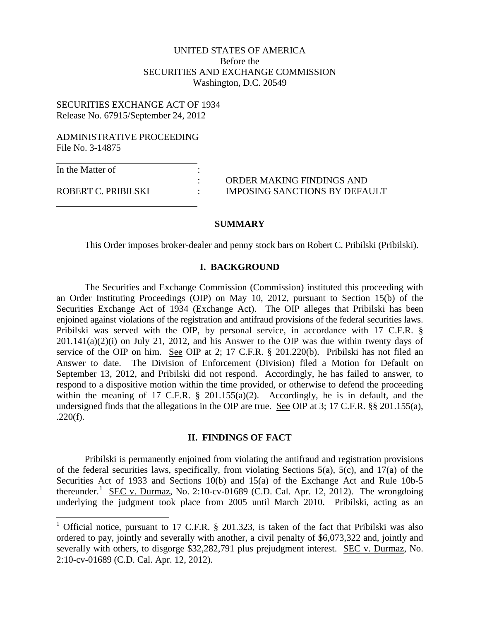# UNITED STATES OF AMERICA Before the SECURITIES AND EXCHANGE COMMISSION Washington, D.C. 20549

# SECURITIES EXCHANGE ACT OF 1934 Release No. 67915/September 24, 2012

#### ADMINISTRATIVE PROCEEDING File No. 3-14875

In the Matter of :

: ORDER MAKING FINDINGS AND ROBERT C. PRIBILSKI : IMPOSING SANCTIONS BY DEFAULT

#### **SUMMARY**

This Order imposes broker-dealer and penny stock bars on Robert C. Pribilski (Pribilski).

#### **I. BACKGROUND**

The Securities and Exchange Commission (Commission) instituted this proceeding with an Order Instituting Proceedings (OIP) on May 10, 2012, pursuant to Section 15(b) of the Securities Exchange Act of 1934 (Exchange Act). The OIP alleges that Pribilski has been enjoined against violations of the registration and antifraud provisions of the federal securities laws. Pribilski was served with the OIP, by personal service, in accordance with 17 C.F.R. §  $201.141(a)(2)(i)$  on July 21, 2012, and his Answer to the OIP was due within twenty days of service of the OIP on him. See OIP at 2; 17 C.F.R. § 201.220(b). Pribilski has not filed an Answer to date. The Division of Enforcement (Division) filed a Motion for Default on September 13, 2012, and Pribilski did not respond. Accordingly, he has failed to answer, to respond to a dispositive motion within the time provided, or otherwise to defend the proceeding within the meaning of 17 C.F.R.  $\S$  201.155(a)(2). Accordingly, he is in default, and the undersigned finds that the allegations in the OIP are true. See OIP at 3; 17 C.F.R. §§ 201.155(a),  $.220(f).$ 

### **II. FINDINGS OF FACT**

Pribilski is permanently enjoined from violating the antifraud and registration provisions of the federal securities laws, specifically, from violating Sections 5(a), 5(c), and 17(a) of the Securities Act of 1933 and Sections 10(b) and 15(a) of the Exchange Act and Rule 10b-5 thereunder.<sup>[1](#page-0-0)</sup> SEC v. Durmaz, No. 2:10-cv-01689 (C.D. Cal. Apr. 12, 2012). The wrongdoing underlying the judgment took place from 2005 until March 2010. Pribilski, acting as an

<span id="page-0-0"></span><sup>&</sup>lt;sup>1</sup> Official notice, pursuant to 17 C.F.R. § 201.323, is taken of the fact that Pribilski was also ordered to pay, jointly and severally with another, a civil penalty of \$6,073,322 and, jointly and severally with others, to disgorge \$32,282,791 plus prejudgment interest. SEC v. Durmaz, No. 2:10-cv-01689 (C.D. Cal. Apr. 12, 2012).